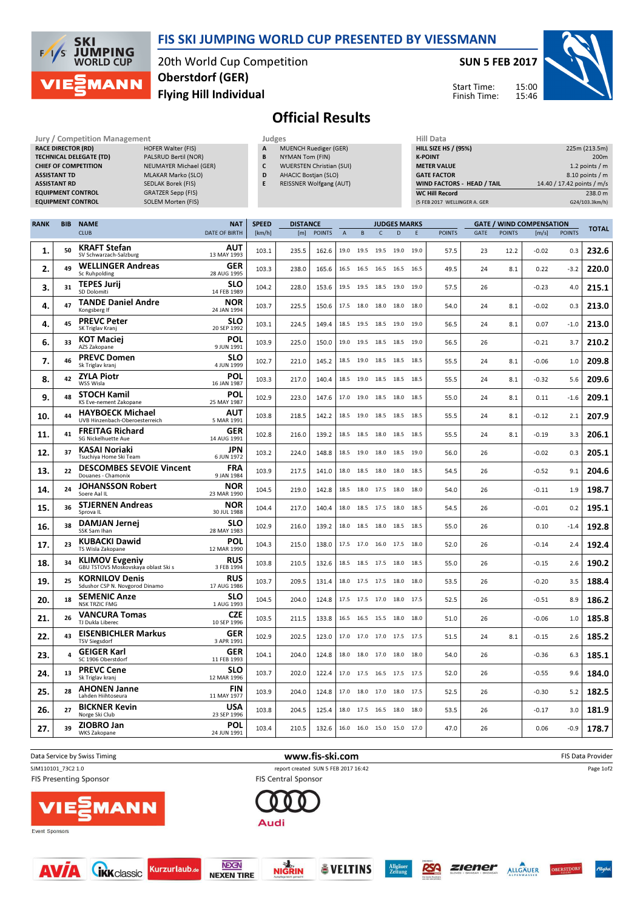

**SKI JUMPING**<br>WORLD CUP  $F/1/s$ MANN

20th World Cup Competition Flying Hill Individual Oberstdorf (GER)

SUN 5 FEB 2017

Start Time: Finish Time:



## Official Results

| <b>Jury / Competition Management</b> |                               |   | Judges                          | <b>Hill Data</b>   |
|--------------------------------------|-------------------------------|---|---------------------------------|--------------------|
| <b>RACE DIRECTOR (RD)</b>            | <b>HOFER Walter (FIS)</b>     | A | <b>MUENCH Ruediger (GER)</b>    | <b>HILL SIZE H</b> |
| <b>TECHNICAL DELEGATE (TD)</b>       | PALSRUD Bertil (NOR)          | В | NYMAN Tom (FIN)                 | <b>K-POINT</b>     |
| <b>CHIEF OF COMPETITION</b>          | <b>NEUMAYER Michael (GER)</b> |   | <b>WUERSTEN Christian (SUI)</b> | <b>METER VAI</b>   |
| <b>ASSISTANT TD</b>                  | <b>MLAKAR Marko (SLO)</b>     | D | <b>AHACIC Bostian (SLO)</b>     | <b>GATE FACT</b>   |
| <b>ASSISTANT RD</b>                  | SEDLAK Borek (FIS)            | E | <b>REISSNER Wolfgang (AUT)</b>  | <b>WIND FACT</b>   |
| <b>EQUIPMENT CONTROL</b>             | <b>GRATZER Sepp (FIS)</b>     |   |                                 | WC Hill Re         |
| <b>EQUIPMENT CONTROL</b>             | SOLEM Morten (FIS)            |   |                                 | (5 FEB 2017)       |
|                                      |                               |   |                                 |                    |

| HIII Data                         |                            |
|-----------------------------------|----------------------------|
| <b>HILL SIZE HS / (95%)</b>       | 225m (213.5m)              |
| <b>K-POINT</b>                    | 200 <sub>m</sub>           |
| <b>METER VALUE</b>                | 1.2 points $/m$            |
| <b>GATE FACTOR</b>                | 8.10 points / m            |
| <b>WIND FACTORS - HEAD / TAIL</b> | 14.40 / 17.42 points / m/s |
| <b>WC Hill Record</b>             | 238.0 m                    |
| (5 FEB 2017 WELLINGER A. GER      | G24/103.3km/h)             |
|                                   |                            |

| <b>RANK</b> | <b>BIB</b>              | <b>NAME</b>                                                  | <b>NAT</b>                | <b>SPEED</b><br><b>DISTANCE</b><br><b>JUDGES MARKS</b> |       |               |                |              |                          |      | <b>GATE / WIND COMPENSATION</b> |               |      |               | <b>TOTAL</b> |               |       |
|-------------|-------------------------|--------------------------------------------------------------|---------------------------|--------------------------------------------------------|-------|---------------|----------------|--------------|--------------------------|------|---------------------------------|---------------|------|---------------|--------------|---------------|-------|
|             |                         | <b>CLUB</b>                                                  | DATE OF BIRTH             | [km/h]                                                 | [m]   | <b>POINTS</b> | $\overline{A}$ | $\, {\bf B}$ | $\mathsf{C}$             | D    | E                               | <b>POINTS</b> | GATE | <b>POINTS</b> | [m/s]        | <b>POINTS</b> |       |
| 1.          | 50                      | <b>KRAFT Stefan</b><br>SV Schwarzach-Salzburg                | AUT<br>13 MAY 1993        | 103.1                                                  | 235.5 | 162.6         |                |              | 19.0 19.5 19.5 19.0 19.0 |      |                                 | 57.5          | 23   | 12.2          | $-0.02$      | 0.3           | 232.6 |
| 2.          | 49                      | <b>WELLINGER Andreas</b><br><b>Sc Ruhpolding</b>             | GER<br>28 AUG 1995        | 103.3                                                  | 238.0 | 165.6         | 16.5           | 16.5         | 16.5 16.5                |      | 16.5                            | 49.5          | 24   | 8.1           | 0.22         | $-3.2$        | 220.0 |
| 3.          | 31                      | <b>TEPES Jurij</b><br>SD Dolomiti                            | <b>SLO</b><br>14 FEB 1989 | 104.2                                                  | 228.0 | 153.6         |                |              | 19.5 19.5 18.5 19.0 19.0 |      |                                 | 57.5          | 26   |               | $-0.23$      | 4.0           | 215.1 |
| 4.          | 47                      | <b>TANDE Daniel Andre</b><br>Kongsberg If                    | <b>NOR</b><br>24 JAN 1994 | 103.7                                                  | 225.5 | 150.6         |                | 17.5 18.0    | 18.0                     | 18.0 | 18.0                            | 54.0          | 24   | 8.1           | $-0.02$      | 0.3           | 213.0 |
| 4.          | 45                      | <b>PREVC Peter</b><br>SK Triglav Kranj                       | <b>SLO</b><br>20 SEP 1992 | 103.1                                                  | 224.5 | 149.4         |                | 18.5 19.5    | 18.5 19.0                |      | 19.0                            | 56.5          | 24   | 8.1           | 0.07         | $-1.0$        | 213.0 |
| 6.          | 33                      | <b>KOT Maciej</b><br>AZS Zakopane                            | <b>POL</b><br>9 JUN 1991  | 103.9                                                  | 225.0 | 150.0         |                |              | 19.0 19.5 18.5 18.5 19.0 |      |                                 | 56.5          | 26   |               | $-0.21$      | 3.7           | 210.2 |
| 7.          | 46                      | <b>PREVC Domen</b><br>Sk Triglav kranj                       | <b>SLO</b><br>4 JUN 1999  | 102.7                                                  | 221.0 | 145.2         | 18.5           | 19.0         | 18.5 18.5                |      | 18.5                            | 55.5          | 24   | 8.1           | $-0.06$      | 1.0           | 209.8 |
| 8.          | 42                      | <b>ZYLA Piotr</b><br>WSS Wisla                               | POL<br>16 JAN 1987        | 103.3                                                  | 217.0 | 140.4         |                | 18.5 19.0    | 18.5 18.5                |      | 18.5                            | 55.5          | 24   | 8.1           | $-0.32$      | 5.6           | 209.6 |
| 9.          | 48                      | <b>STOCH Kamil</b><br>KS Eve-nement Zakopane                 | <b>POL</b><br>25 MAY 1987 | 102.9                                                  | 223.0 | 147.6         |                |              | 17.0 19.0 18.5 18.0 18.5 |      |                                 | 55.0          | 24   | 8.1           | 0.11         | $-1.6$        | 209.1 |
| 10.         | 44                      | <b>HAYBOECK Michael</b><br>UVB Hinzenbach-Oberoesterreich    | <b>AUT</b><br>5 MAR 1991  | 103.8                                                  | 218.5 | 142.2         |                | 18.5 19.0    | 18.5 18.5 18.5           |      |                                 | 55.5          | 24   | 8.1           | $-0.12$      | 2.1           | 207.9 |
| 11.         | 41                      | <b>FREITAG Richard</b><br>SG Nickelhuette Aue                | <b>GER</b><br>14 AUG 1991 | 102.8                                                  | 216.0 | 139.2         |                | 18.5 18.5    | 18.0                     | 18.5 | 18.5                            | 55.5          | 24   | 8.1           | $-0.19$      | 3.3           | 206.1 |
| 12.         | 37                      | KASAI Noriaki<br>Tsuchiva Home Ski Team                      | <b>JPN</b><br>6 JUN 1972  | 103.2                                                  | 224.0 | 148.8         |                |              | 18.5 19.0 18.0 18.5 19.0 |      |                                 | 56.0          | 26   |               | $-0.02$      | 0.3           | 205.1 |
| 13.         | 22                      | <b>DESCOMBES SEVOIE Vincent</b><br>Douanes - Chamonix        | <b>FRA</b><br>9 JAN 1984  | 103.9                                                  | 217.5 | 141.0         |                |              | 18.0 18.5 18.0 18.0 18.5 |      |                                 | 54.5          | 26   |               | $-0.52$      | 9.1           | 204.6 |
| 14.         | 24                      | <b>JOHANSSON Robert</b><br>Soere Aal II                      | <b>NOR</b><br>23 MAR 1990 | 104.5                                                  | 219.0 | 142.8         |                | 18.5 18.0    | 17.5 18.0                |      | 18.0                            | 54.0          | 26   |               | $-0.11$      | 1.9           | 198.7 |
| 15.         | 36                      | <b>STJERNEN Andreas</b><br>Sprova IL                         | <b>NOR</b><br>30 JUL 1988 | 104.4                                                  | 217.0 | 140.4         |                |              | 18.0 18.5 17.5 18.0 18.5 |      |                                 | 54.5          | 26   |               | $-0.01$      | 0.2           | 195.1 |
| 16.         | 38                      | <b>DAMJAN Jernej</b><br>SSK Sam Ihan                         | <b>SLO</b><br>28 MAY 1983 | 102.9                                                  | 216.0 | 139.2         |                | 18.0 18.5    | 18.0 18.5                |      | 18.5                            | 55.0          | 26   |               | 0.10         | $-1.4$        | 192.8 |
| 17.         | 23                      | <b>KUBACKI Dawid</b><br>TS Wisla Zakopane                    | POL<br>12 MAR 1990        | 104.3                                                  | 215.0 | 138.0         |                |              | 17.5 17.0 16.0 17.5 18.0 |      |                                 | 52.0          | 26   |               | $-0.14$      | 2.4           | 192.4 |
| 18.         | 34                      | <b>KLIMOV Evgeniy</b><br>GBU TSTOVS Moskovskaya oblast Ski s | <b>RUS</b><br>3 FEB 1994  | 103.8                                                  | 210.5 | 132.6         |                |              | 18.5 18.5 17.5 18.0 18.5 |      |                                 | 55.0          | 26   |               | $-0.15$      | 2.6           | 190.2 |
| 19.         | 25                      | <b>KORNILOV Denis</b><br>Sdushor CSP N. Novgorod Dinamo      | <b>RUS</b><br>17 AUG 1986 | 103.7                                                  | 209.5 | 131.4         | 18.0           | 17.5         | 17.5                     | 18.0 | 18.0                            | 53.5          | 26   |               | $-0.20$      | 3.5           | 188.4 |
| 20.         | 18                      | <b>SEMENIC Anze</b><br><b>NSK TRZIC FMG</b>                  | <b>SLO</b><br>1 AUG 1993  | 104.5                                                  | 204.0 | 124.8         |                |              | 17.5 17.5 17.0 18.0 17.5 |      |                                 | 52.5          | 26   |               | $-0.51$      | 8.9           | 186.2 |
| 21.         | 26                      | <b>VANCURA Tomas</b><br>TJ Dukla Liberec                     | <b>CZE</b><br>10 SEP 1996 | 103.5                                                  | 211.5 | 133.8         |                | 16.5 16.5    | 15.5 18.0 18.0           |      |                                 | 51.0          | 26   |               | $-0.06$      | 1.0           | 185.8 |
| 22.         | 43                      | <b>EISENBICHLER Markus</b><br><b>TSV Siegsdorf</b>           | <b>GER</b><br>3 APR 1991  | 102.9                                                  | 202.5 | 123.0         |                | 17.0 17.0    | 17.0 17.5                |      | 17.5                            | 51.5          | 24   | 8.1           | $-0.15$      | 2.6           | 185.2 |
| 23.         | $\overline{\mathbf{A}}$ | <b>GEIGER Karl</b><br>SC 1906 Oberstdorf                     | GER<br>11 FEB 1993        | 104.1                                                  | 204.0 | 124.8         |                |              | 18.0 18.0 17.0 18.0 18.0 |      |                                 | 54.0          | 26   |               | $-0.36$      | 6.3           | 185.1 |
| 24.         | 13                      | <b>PREVC Cene</b><br>Sk Triglav kranj                        | <b>SLO</b><br>12 MAR 1996 | 103.7                                                  | 202.0 | 122.4         |                | 17.0 17.5    | 16.5 17.5 17.5           |      |                                 | 52.0          | 26   |               | $-0.55$      | 9.6           | 184.0 |
| 25.         | 28                      | <b>AHONEN Janne</b><br>Lahden Hiihtoseura                    | <b>FIN</b><br>11 MAY 1977 | 103.9                                                  | 204.0 | 124.8         |                | 17.0 18.0    | 17.0 18.0 17.5           |      |                                 | 52.5          | 26   |               | $-0.30$      | 5.2           | 182.5 |
| 26.         | 27                      | <b>BICKNER Kevin</b><br>Norge Ski Club                       | <b>USA</b><br>23 SEP 1996 | 103.8                                                  | 204.5 | 125.4         |                |              | 18.0 17.5 16.5 18.0 18.0 |      |                                 | 53.5          | 26   |               | $-0.17$      | 3.0           | 181.9 |
| 27.         | 39                      | <b>ZIOBRO Jan</b><br>WKS Zakopane                            | POL<br>24 JUN 1991        | 103.4                                                  | 210.5 | 132.6         |                |              | 16.0 16.0 15.0 15.0 17.0 |      |                                 | 47.0          | 26   |               | 0.06         | $-0.9$        | 178.7 |

















OBERSTD